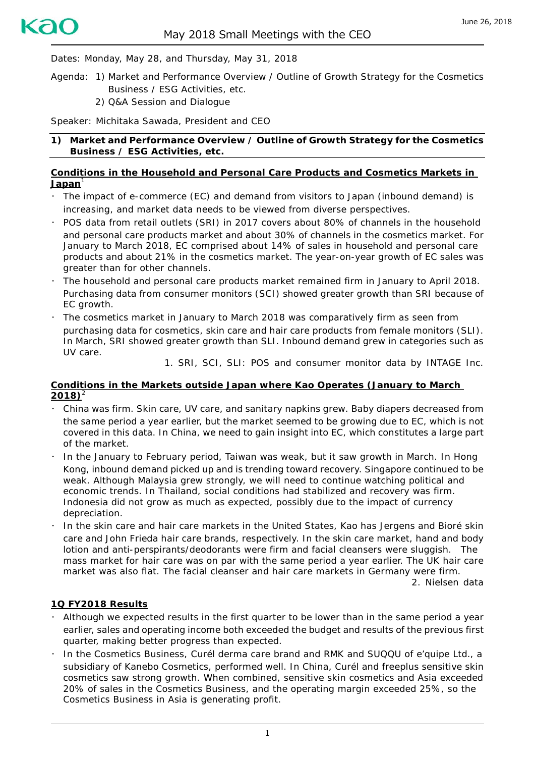Dates: Monday, May 28, and Thursday, May 31, 2018

- Agenda: 1) Market and Performance Overview / Outline of Growth Strategy for the Cosmetics Business / ESG Activities, etc.
	- 2) Q&A Session and Dialogue

Speaker: Michitaka Sawada, President and CEO

**1) Market and Performance Overview / Outline of Growth Strategy for the Cosmetics Business / ESG Activities, etc.**

#### **Conditions in the Household and Personal Care Products and Cosmetics Markets in Japan**<sup>1</sup>

- ・ The impact of e-commerce (EC) and demand from visitors to Japan (inbound demand) is increasing, and market data needs to be viewed from diverse perspectives.
- ・ POS data from retail outlets (SRI) in 2017 covers about 80% of channels in the household and personal care products market and about 30% of channels in the cosmetics market. For January to March 2018, EC comprised about 14% of sales in household and personal care products and about 21% in the cosmetics market. The year-on-year growth of EC sales was greater than for other channels.
- The household and personal care products market remained firm in January to April 2018. Purchasing data from consumer monitors (SCI) showed greater growth than SRI because of EC growth.
- The cosmetics market in January to March 2018 was comparatively firm as seen from purchasing data for cosmetics, skin care and hair care products from female monitors (SLI). In March, SRI showed greater growth than SLI. Inbound demand grew in categories such as UV care.

1. SRI, SCI, SLI: POS and consumer monitor data by INTAGE Inc.

#### **Conditions in the Markets outside Japan where Kao Operates (January to March**  $2018$ <sup>2</sup>

- ・ China was firm. Skin care, UV care, and sanitary napkins grew. Baby diapers decreased from the same period a year earlier, but the market seemed to be growing due to EC, which is not covered in this data. In China, we need to gain insight into EC, which constitutes a large part of the market.
- In the January to February period, Taiwan was weak, but it saw growth in March. In Hong Kong, inbound demand picked up and is trending toward recovery. Singapore continued to be weak. Although Malaysia grew strongly, we will need to continue watching political and economic trends. In Thailand, social conditions had stabilized and recovery was firm. Indonesia did not grow as much as expected, possibly due to the impact of currency depreciation.
- ・ In the skin care and hair care markets in the United States, Kao has *Jergens* and *Bioré* skin care and *John Frieda* hair care brands, respectively. In the skin care market, hand and body lotion and anti-perspirants/deodorants were firm and facial cleansers were sluggish. The mass market for hair care was on par with the same period a year earlier. The UK hair care market was also flat. The facial cleanser and hair care markets in Germany were firm.

2. Nielsen data

### **1Q FY2018 Results**

- ・ Although we expected results in the first quarter to be lower than in the same period a year earlier, sales and operating income both exceeded the budget and results of the previous first quarter, making better progress than expected.
- ・ In the Cosmetics Business, *Curél* derma care brand and *RMK* and *SUQQU* of e'quipe Ltd., a subsidiary of Kanebo Cosmetics, performed well. In China, *Curél* and *freeplus* sensitive skin cosmetics saw strong growth. When combined, sensitive skin cosmetics and Asia exceeded 20% of sales in the Cosmetics Business, and the operating margin exceeded 25%, so the Cosmetics Business in Asia is generating profit.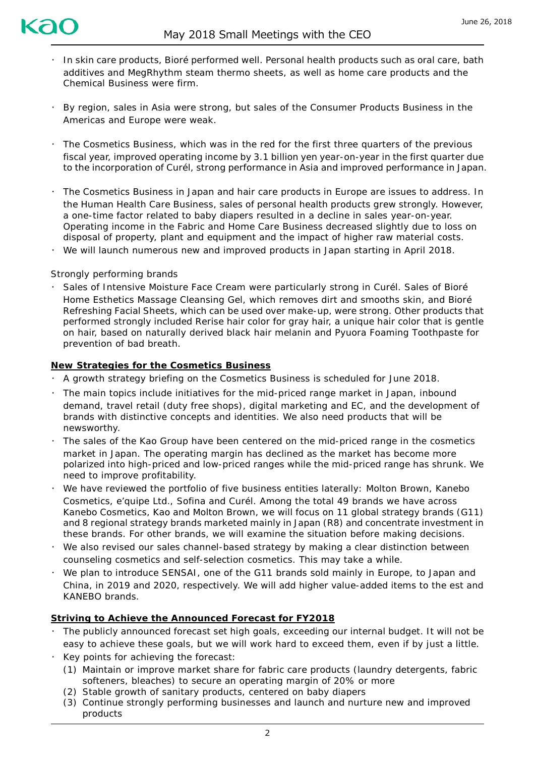

- ・ In skin care products, *Bioré* performed well. Personal health products such as oral care, bath additives and *MegRhythm* steam thermo sheets, as well as home care products and the Chemical Business were firm.
- ・ By region, sales in Asia were strong, but sales of the Consumer Products Business in the Americas and Europe were weak.
- ・ The Cosmetics Business, which was in the red for the first three quarters of the previous fiscal year, improved operating income by 3.1 billion yen year-on-year in the first quarter due to the incorporation of *Curél*, strong performance in Asia and improved performance in Japan.
- ・ The Cosmetics Business in Japan and hair care products in Europe are issues to address. In the Human Health Care Business, sales of personal health products grew strongly. However, a one-time factor related to baby diapers resulted in a decline in sales year-on-year. Operating income in the Fabric and Home Care Business decreased slightly due to loss on disposal of property, plant and equipment and the impact of higher raw material costs.
- We will launch numerous new and improved products in Japan starting in April 2018.

#### Strongly performing brands

・ Sales of *Intensive Moisture Face Cream* were particularly strong in *Curél*. Sales of *Bioré Home Esthetics Massage Cleansing Gel*, which removes dirt and smooths skin, and *Bioré Refreshing Facial Sheets,* which can be used over make-up, were strong. Other products that performed strongly included *Rerise* hair color for gray hair, a unique hair color that is gentle on hair, based on naturally derived black hair melanin and *Pyuora Foaming Toothpaste* for prevention of bad breath.

#### **New Strategies for the Cosmetics Business**

- ・ A growth strategy briefing on the Cosmetics Business is scheduled for June 2018.
- ・ The main topics include initiatives for the mid-priced range market in Japan, inbound demand, travel retail (duty free shops), digital marketing and EC, and the development of brands with distinctive concepts and identities. We also need products that will be newsworthy.
- The sales of the Kao Group have been centered on the mid-priced range in the cosmetics market in Japan. The operating margin has declined as the market has become more polarized into high-priced and low-priced ranges while the mid-priced range has shrunk. We need to improve profitability.
- ・ We have reviewed the portfolio of five business entities laterally: Molton Brown, Kanebo Cosmetics, e'quipe Ltd., Sofina and Curél. Among the total 49 brands we have across Kanebo Cosmetics, Kao and Molton Brown, we will focus on 11 global strategy brands (G11) and 8 regional strategy brands marketed mainly in Japan (R8) and concentrate investment in these brands. For other brands, we will examine the situation before making decisions.
- ・ We also revised our sales channel-based strategy by making a clear distinction between counseling cosmetics and self-selection cosmetics. This may take a while.
- ・ We plan to introduce *SENSAI*, one of the G11 brands sold mainly in Europe, to Japan and China, in 2019 and 2020, respectively. We will add higher value-added items to the *est* and *KANEBO* brands.

### **Striving to Achieve the Announced Forecast for FY2018**

- ・ The publicly announced forecast set high goals, exceeding our internal budget. It will not be easy to achieve these goals, but we will work hard to exceed them, even if by just a little.
- Key points for achieving the forecast:
	- (1) Maintain or improve market share for fabric care products (laundry detergents, fabric softeners, bleaches) to secure an operating margin of 20% or more
	- (2) Stable growth of sanitary products, centered on baby diapers
	- (3) Continue strongly performing businesses and launch and nurture new and improved products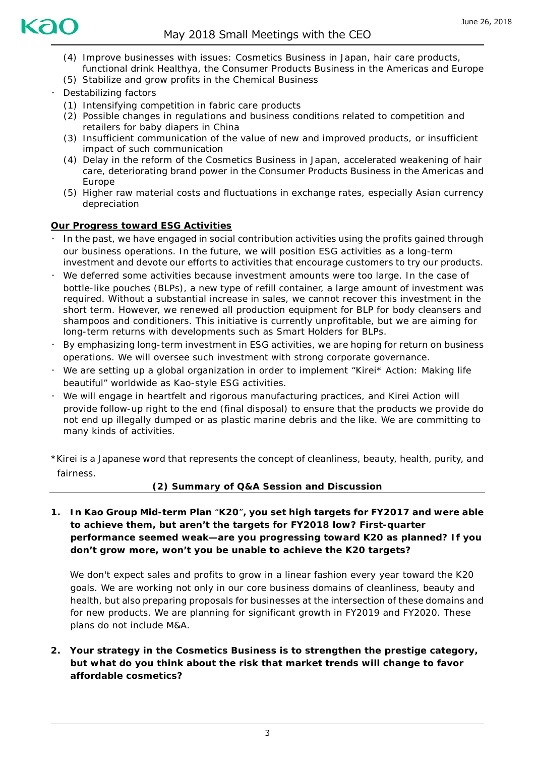

- (4) Improve businesses with issues: Cosmetics Business in Japan, hair care products, functional drink *Healthya*, the Consumer Products Business in the Americas and Europe
- (5) Stabilize and grow profits in the Chemical Business
- Destabilizing factors
	- (1) Intensifying competition in fabric care products
	- (2) Possible changes in regulations and business conditions related to competition and retailers for baby diapers in China
	- (3) Insufficient communication of the value of new and improved products, or insufficient impact of such communication
	- (4) Delay in the reform of the Cosmetics Business in Japan, accelerated weakening of hair care, deteriorating brand power in the Consumer Products Business in the Americas and Europe
	- (5) Higher raw material costs and fluctuations in exchange rates, especially Asian currency depreciation

### **Our Progress toward ESG Activities**

- In the past, we have engaged in social contribution activities using the profits gained through our business operations. In the future, we will position ESG activities as a long-term investment and devote our efforts to activities that encourage customers to try our products.
- We deferred some activities because investment amounts were too large. In the case of bottle-like pouches (BLPs), a new type of refill container, a large amount of investment was required. Without a substantial increase in sales, we cannot recover this investment in the short term. However, we renewed all production equipment for BLP for body cleansers and shampoos and conditioners. This initiative is currently unprofitable, but we are aiming for long-term returns with developments such as Smart Holders for BLPs.
- By emphasizing long-term investment in ESG activities, we are hoping for return on business operations. We will oversee such investment with strong corporate governance.
- $\cdot$  We are setting up a global organization in order to implement "Kirei\* Action: Making life beautiful" worldwide as Kao-style ESG activities.
- ・ We will engage in heartfelt and rigorous manufacturing practices, and Kirei Action will provide follow-up right to the end (final disposal) to ensure that the products we provide do not end up illegally dumped or as plastic marine debris and the like. We are committing to many kinds of activities.

\*Kirei is a Japanese word that represents the concept of cleanliness, beauty, health, purity, and fairness.

### **(2) Summary of Q&A Session and Discussion**

**1. In Kao Group Mid-term Plan** "**K20**"**, you set high targets for FY2017 and were able to achieve them, but aren't the targets for FY2018 low? First-quarter performance seemed weak—are you progressing toward K20 as planned? If you don't grow more, won't you be unable to achieve the K20 targets?**

We don't expect sales and profits to grow in a linear fashion every year toward the K20 goals. We are working not only in our core business domains of cleanliness, beauty and health, but also preparing proposals for businesses at the intersection of these domains and for new products. We are planning for significant growth in FY2019 and FY2020. These plans do not include M&A.

**2. Your strategy in the Cosmetics Business is to strengthen the prestige category, but what do you think about the risk that market trends will change to favor affordable cosmetics?**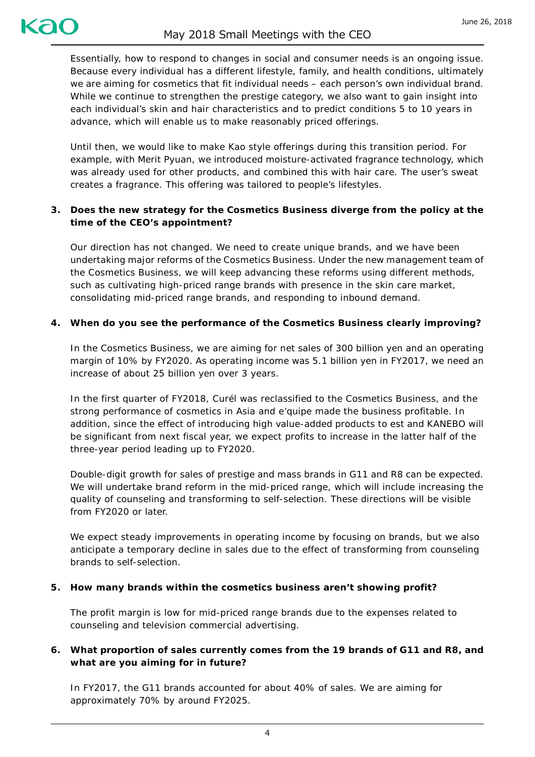Essentially, how to respond to changes in social and consumer needs is an ongoing issue. Because every individual has a different lifestyle, family, and health conditions, ultimately we are aiming for cosmetics that fit individual needs – each person's own individual brand. While we continue to strengthen the prestige category, we also want to gain insight into each individual's skin and hair characteristics and to predict conditions 5 to 10 years in advance, which will enable us to make reasonably priced offerings.

Until then, we would like to make Kao style offerings during this transition period. For example, with *Merit Pyuan*, we introduced moisture-activated fragrance technology, which was already used for other products, and combined this with hair care. The user's sweat creates a fragrance. This offering was tailored to people's lifestyles.

# **3. Does the new strategy for the Cosmetics Business diverge from the policy at the time of the CEO's appointment?**

Our direction has not changed. We need to create unique brands, and we have been undertaking major reforms of the Cosmetics Business. Under the new management team of the Cosmetics Business, we will keep advancing these reforms using different methods, such as cultivating high-priced range brands with presence in the skin care market, consolidating mid-priced range brands, and responding to inbound demand.

## **4. When do you see the performance of the Cosmetics Business clearly improving?**

In the Cosmetics Business, we are aiming for net sales of 300 billion yen and an operating margin of 10% by FY2020. As operating income was 5.1 billion yen in FY2017, we need an increase of about 25 billion yen over 3 years.

In the first quarter of FY2018, *Curél* was reclassified to the Cosmetics Business, and the strong performance of cosmetics in Asia and e'quipe made the business profitable. In addition, since the effect of introducing high value-added products to *est* and *KANEBO* will be significant from next fiscal year, we expect profits to increase in the latter half of the three-year period leading up to FY2020.

Double-digit growth for sales of prestige and mass brands in G11 and R8 can be expected. We will undertake brand reform in the mid-priced range, which will include increasing the quality of counseling and transforming to self-selection. These directions will be visible from FY2020 or later.

We expect steady improvements in operating income by focusing on brands, but we also anticipate a temporary decline in sales due to the effect of transforming from counseling brands to self-selection.

### **5. How many brands within the cosmetics business aren't showing profit?**

The profit margin is low for mid-priced range brands due to the expenses related to counseling and television commercial advertising.

## **6. What proportion of sales currently comes from the 19 brands of G11 and R8, and what are you aiming for in future?**

In FY2017, the G11 brands accounted for about 40% of sales. We are aiming for approximately 70% by around FY2025.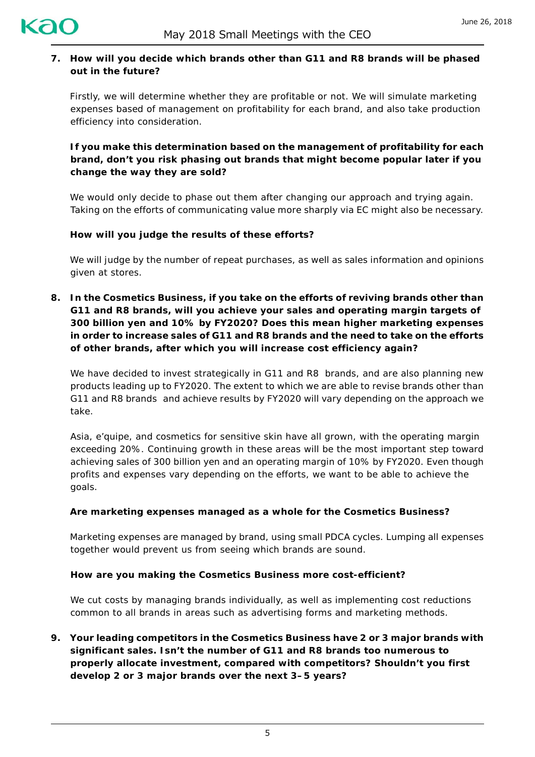

## **7. How will you decide which brands other than G11 and R8 brands will be phased out in the future?**

Firstly, we will determine whether they are profitable or not. We will simulate marketing expenses based of management on profitability for each brand, and also take production efficiency into consideration.

**If you make this determination based on the management of profitability for each brand, don't you risk phasing out brands that might become popular later if you change the way they are sold?**

We would only decide to phase out them after changing our approach and trying again. Taking on the efforts of communicating value more sharply via EC might also be necessary.

### **How will you judge the results of these efforts?**

We will judge by the number of repeat purchases, as well as sales information and opinions given at stores.

**8. In the Cosmetics Business, if you take on the efforts of reviving brands other than G11 and R8 brands, will you achieve your sales and operating margin targets of 300 billion yen and 10% by FY2020? Does this mean higher marketing expenses in order to increase sales of G11 and R8 brands and the need to take on the efforts of other brands, after which you will increase cost efficiency again?**

We have decided to invest strategically in G11 and R8 brands, and are also planning new products leading up to FY2020. The extent to which we are able to revise brands other than G11 and R8 brands and achieve results by FY2020 will vary depending on the approach we take.

Asia, *e'quipe*, and cosmetics for sensitive skin have all grown, with the operating margin exceeding 20%. Continuing growth in these areas will be the most important step toward achieving sales of 300 billion yen and an operating margin of 10% by FY2020. Even though profits and expenses vary depending on the efforts, we want to be able to achieve the goals.

### **Are marketing expenses managed as a whole for the Cosmetics Business?**

Marketing expenses are managed by brand, using small PDCA cycles. Lumping all expenses together would prevent us from seeing which brands are sound.

#### **How are you making the Cosmetics Business more cost-efficient?**

We cut costs by managing brands individually, as well as implementing cost reductions common to all brands in areas such as advertising forms and marketing methods.

**9. Your leading competitors in the Cosmetics Business have 2 or 3 major brands with significant sales. Isn't the number of G11 and R8 brands too numerous to properly allocate investment, compared with competitors? Shouldn't you first develop 2 or 3 major brands over the next 3–5 years?**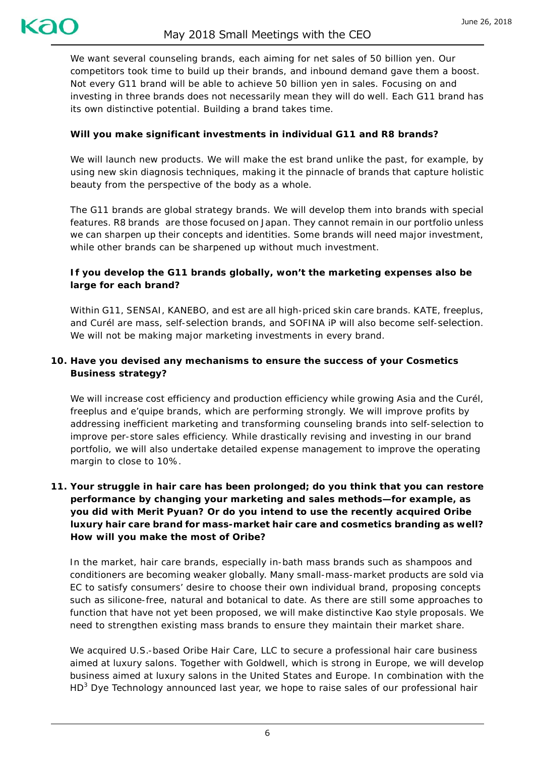We want several counseling brands, each aiming for net sales of 50 billion yen. Our competitors took time to build up their brands, and inbound demand gave them a boost. Not every G11 brand will be able to achieve 50 billion yen in sales. Focusing on and investing in three brands does not necessarily mean they will do well. Each G11 brand has its own distinctive potential. Building a brand takes time.

# **Will you make significant investments in individual G11 and R8 brands?**

We will launch new products. We will make the *est* brand unlike the past, for example, by using new skin diagnosis techniques, making it the pinnacle of brands that capture holistic beauty from the perspective of the body as a whole.

The G11 brands are global strategy brands. We will develop them into brands with special features. R8 brands are those focused on Japan. They cannot remain in our portfolio unless we can sharpen up their concepts and identities. Some brands will need major investment, while other brands can be sharpened up without much investment.

# **If you develop the G11 brands globally, won't the marketing expenses also be large for each brand?**

Within G11, *SENSAI*, *KANEBO*, and *est* are all high-priced skin care brands. *KATE*, *freeplus*, and *Curél* are mass, self-selection brands, and *SOFINA iP* will also become self-selection. We will not be making major marketing investments in every brand.

# **10. Have you devised any mechanisms to ensure the success of your Cosmetics Business strategy?**

We will increase cost efficiency and production efficiency while growing Asia and the *Curél*, *freeplus* and *e'quipe brands*, which are performing strongly. We will improve profits by addressing inefficient marketing and transforming counseling brands into self-selection to improve per-store sales efficiency. While drastically revising and investing in our brand portfolio, we will also undertake detailed expense management to improve the operating margin to close to 10%.

# **11. Your struggle in hair care has been prolonged; do you think that you can restore performance by changing your marketing and sales methods—for example, as you did with** *Merit Pyuan***? Or do you intend to use the recently acquired** *Oribe* **luxury hair care brand for mass-market hair care and cosmetics branding as well? How will you make the most of** *Oribe***?**

In the market, hair care brands, especially in-bath mass brands such as shampoos and conditioners are becoming weaker globally. Many small-mass-market products are sold via EC to satisfy consumers' desire to choose their own individual brand, proposing concepts such as silicone-free, natural and botanical to date. As there are still some approaches to function that have not yet been proposed, we will make distinctive Kao style proposals. We need to strengthen existing mass brands to ensure they maintain their market share.

We acquired U.S.-based Oribe Hair Care, LLC to secure a professional hair care business aimed at luxury salons. Together with *Goldwell*, which is strong in Europe, we will develop business aimed at luxury salons in the United States and Europe. In combination with the HD<sup>3</sup> Dye Technology announced last year, we hope to raise sales of our professional hair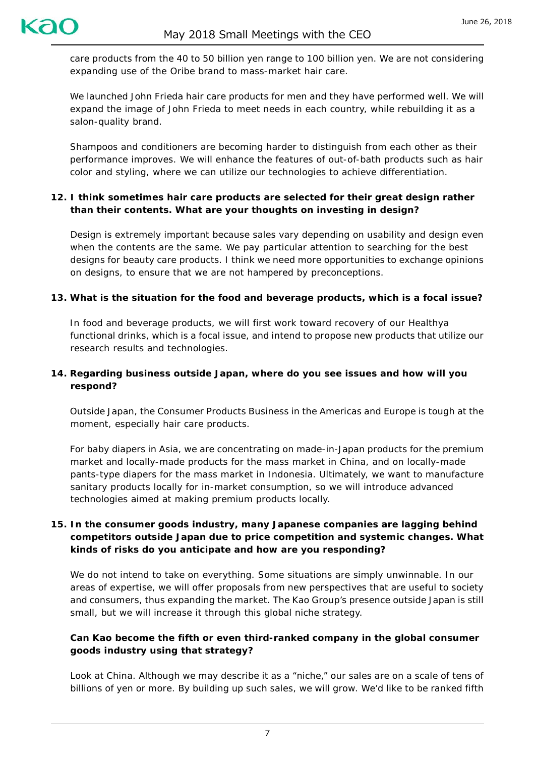care products from the 40 to 50 billion yen range to 100 billion yen. We are not considering expanding use of the *Oribe* brand to mass-market hair care.

We launched *John Frieda* hair care products for men and they have performed well. We will expand the image of *John Frieda* to meet needs in each country, while rebuilding it as a salon-quality brand.

Shampoos and conditioners are becoming harder to distinguish from each other as their performance improves. We will enhance the features of out-of-bath products such as hair color and styling, where we can utilize our technologies to achieve differentiation.

## **12. I think sometimes hair care products are selected for their great design rather than their contents. What are your thoughts on investing in design?**

Design is extremely important because sales vary depending on usability and design even when the contents are the same. We pay particular attention to searching for the best designs for beauty care products. I think we need more opportunities to exchange opinions on designs, to ensure that we are not hampered by preconceptions.

### **13. What is the situation for the food and beverage products, which is a focal issue?**

In food and beverage products, we will first work toward recovery of our *Healthya* functional drinks, which is a focal issue, and intend to propose new products that utilize our research results and technologies.

## **14. Regarding business outside Japan, where do you see issues and how will you respond?**

Outside Japan, the Consumer Products Business in the Americas and Europe is tough at the moment, especially hair care products.

For baby diapers in Asia, we are concentrating on made-in-Japan products for the premium market and locally-made products for the mass market in China, and on locally-made pants-type diapers for the mass market in Indonesia. Ultimately, we want to manufacture sanitary products locally for in-market consumption, so we will introduce advanced technologies aimed at making premium products locally.

# **15. In the consumer goods industry, many Japanese companies are lagging behind competitors outside Japan due to price competition and systemic changes. What kinds of risks do you anticipate and how are you responding?**

We do not intend to take on everything. Some situations are simply unwinnable. In our areas of expertise, we will offer proposals from new perspectives that are useful to society and consumers, thus expanding the market. The Kao Group's presence outside Japan is still small, but we will increase it through this global niche strategy.

# **Can Kao become the fifth or even third-ranked company in the global consumer goods industry using that strategy?**

Look at China. Although we may describe it as a "niche," our sales are on a scale of tens of billions of yen or more. By building up such sales, we will grow. We'd like to be ranked fifth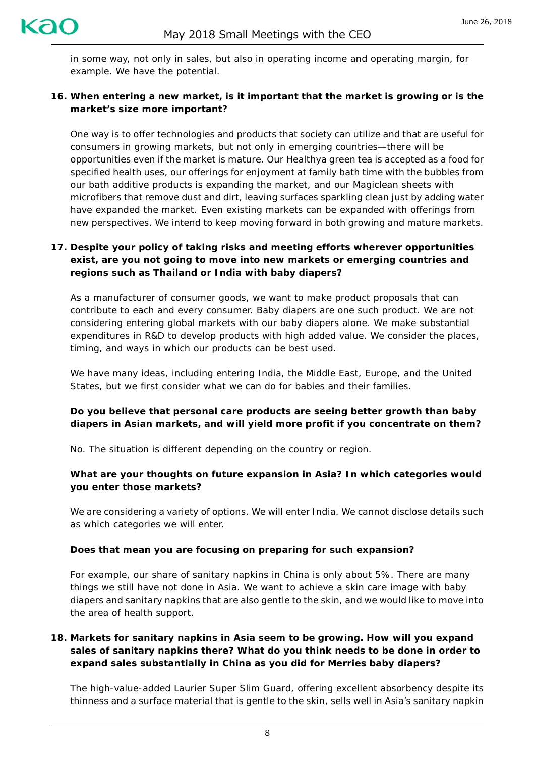in some way, not only in sales, but also in operating income and operating margin, for example. We have the potential.

### **16. When entering a new market, is it important that the market is growing or is the market's size more important?**

One way is to offer technologies and products that society can utilize and that are useful for consumers in growing markets, but not only in emerging countries—there will be opportunities even if the market is mature. Our *Healthya* green tea is accepted as a food for specified health uses, our offerings for enjoyment at family bath time with the bubbles from our bath additive products is expanding the market, and our *Magiclean* sheets with microfibers that remove dust and dirt, leaving surfaces sparkling clean just by adding water have expanded the market. Even existing markets can be expanded with offerings from new perspectives. We intend to keep moving forward in both growing and mature markets.

# **17. Despite your policy of taking risks and meeting efforts wherever opportunities exist, are you not going to move into new markets or emerging countries and regions such as Thailand or India with baby diapers?**

As a manufacturer of consumer goods, we want to make product proposals that can contribute to each and every consumer. Baby diapers are one such product. We are not considering entering global markets with our baby diapers alone. We make substantial expenditures in R&D to develop products with high added value. We consider the places, timing, and ways in which our products can be best used.

We have many ideas, including entering India, the Middle East, Europe, and the United States, but we first consider what we can do for babies and their families.

## **Do you believe that personal care products are seeing better growth than baby diapers in Asian markets, and will yield more profit if you concentrate on them?**

No. The situation is different depending on the country or region.

### **What are your thoughts on future expansion in Asia? In which categories would you enter those markets?**

We are considering a variety of options. We will enter India. We cannot disclose details such as which categories we will enter.

### **Does that mean you are focusing on preparing for such expansion?**

For example, our share of sanitary napkins in China is only about 5%. There are many things we still have not done in Asia. We want to achieve a skin care image with baby diapers and sanitary napkins that are also gentle to the skin, and we would like to move into the area of health support.

### **18. Markets for sanitary napkins in Asia seem to be growing. How will you expand sales of sanitary napkins there? What do you think needs to be done in order to expand sales substantially in China as you did for** *Merries* **baby diapers?**

The high-value-added *Laurier Super Slim Guard*, offering excellent absorbency despite its thinness and a surface material that is gentle to the skin, sells well in Asia's sanitary napkin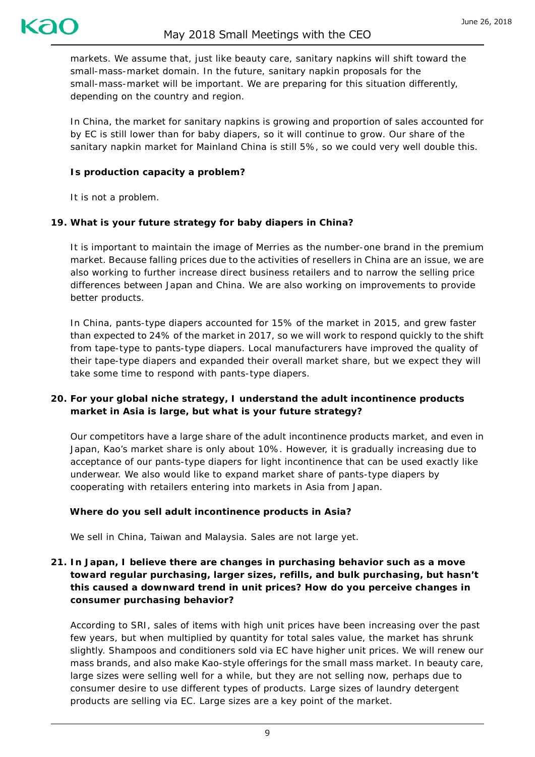

markets. We assume that, just like beauty care, sanitary napkins will shift toward the small-mass-market domain. In the future, sanitary napkin proposals for the small-mass-market will be important. We are preparing for this situation differently, depending on the country and region.

In China, the market for sanitary napkins is growing and proportion of sales accounted for by EC is still lower than for baby diapers, so it will continue to grow. Our share of the sanitary napkin market for Mainland China is still 5%, so we could very well double this.

#### **Is production capacity a problem?**

It is not a problem.

#### **19. What is your future strategy for baby diapers in China?**

It is important to maintain the image of *Merries* as the number-one brand in the premium market. Because falling prices due to the activities of resellers in China are an issue, we are also working to further increase direct business retailers and to narrow the selling price differences between Japan and China. We are also working on improvements to provide better products.

In China, pants-type diapers accounted for 15% of the market in 2015, and grew faster than expected to 24% of the market in 2017, so we will work to respond quickly to the shift from tape-type to pants-type diapers. Local manufacturers have improved the quality of their tape-type diapers and expanded their overall market share, but we expect they will take some time to respond with pants-type diapers.

### **20. For your global niche strategy, I understand the adult incontinence products market in Asia is large, but what is your future strategy?**

Our competitors have a large share of the adult incontinence products market, and even in Japan, Kao's market share is only about 10%. However, it is gradually increasing due to acceptance of our pants-type diapers for light incontinence that can be used exactly like underwear. We also would like to expand market share of pants-type diapers by cooperating with retailers entering into markets in Asia from Japan.

#### **Where do you sell adult incontinence products in Asia?**

We sell in China, Taiwan and Malaysia. Sales are not large yet.

### **21. In Japan, I believe there are changes in purchasing behavior such as a move toward regular purchasing, larger sizes, refills, and bulk purchasing, but hasn't this caused a downward trend in unit prices? How do you perceive changes in consumer purchasing behavior?**

According to SRI, sales of items with high unit prices have been increasing over the past few years, but when multiplied by quantity for total sales value, the market has shrunk slightly. Shampoos and conditioners sold via EC have higher unit prices. We will renew our mass brands, and also make Kao-style offerings for the small mass market. In beauty care, large sizes were selling well for a while, but they are not selling now, perhaps due to consumer desire to use different types of products. Large sizes of laundry detergent products are selling via EC. Large sizes are a key point of the market.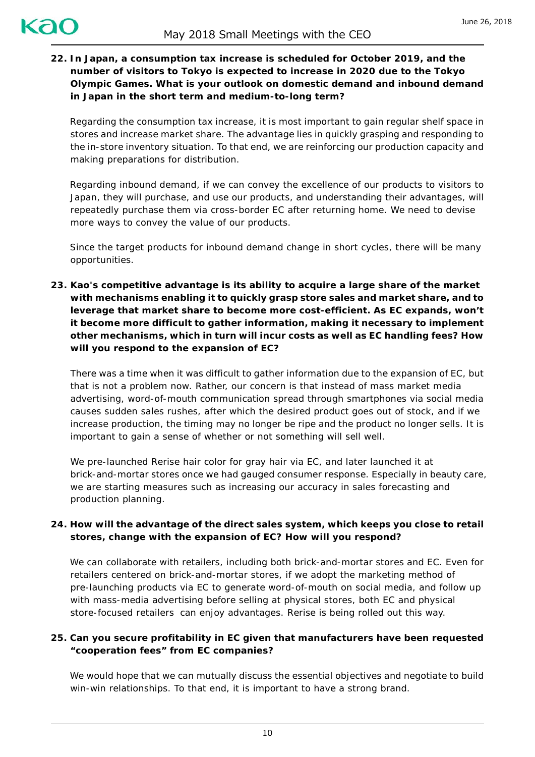**22. In Japan, a consumption tax increase is scheduled for October 2019, and the number of visitors to Tokyo is expected to increase in 2020 due to the Tokyo Olympic Games. What is your outlook on domestic demand and inbound demand in Japan in the short term and medium-to-long term?**

Regarding the consumption tax increase, it is most important to gain regular shelf space in stores and increase market share. The advantage lies in quickly grasping and responding to the in-store inventory situation. To that end, we are reinforcing our production capacity and making preparations for distribution.

Regarding inbound demand, if we can convey the excellence of our products to visitors to Japan, they will purchase, and use our products, and understanding their advantages, will repeatedly purchase them via cross-border EC after returning home. We need to devise more ways to convey the value of our products.

Since the target products for inbound demand change in short cycles, there will be many opportunities.

**23. Kao's competitive advantage is its ability to acquire a large share of the market with mechanisms enabling it to quickly grasp store sales and market share, and to leverage that market share to become more cost-efficient. As EC expands, won't it become more difficult to gather information, making it necessary to implement other mechanisms, which in turn will incur costs as well as EC handling fees? How will you respond to the expansion of EC?**

There was a time when it was difficult to gather information due to the expansion of EC, but that is not a problem now. Rather, our concern is that instead of mass market media advertising, word-of-mouth communication spread through smartphones via social media causes sudden sales rushes, after which the desired product goes out of stock, and if we increase production, the timing may no longer be ripe and the product no longer sells. It is important to gain a sense of whether or not something will sell well.

We pre-launched *Rerise* hair color for gray hair via EC, and later launched it at brick-and-mortar stores once we had gauged consumer response. Especially in beauty care, we are starting measures such as increasing our accuracy in sales forecasting and production planning.

## **24. How will the advantage of the direct sales system, which keeps you close to retail stores, change with the expansion of EC? How will you respond?**

We can collaborate with retailers, including both brick-and-mortar stores and EC. Even for retailers centered on brick-and-mortar stores, if we adopt the marketing method of pre-launching products via EC to generate word-of-mouth on social media, and follow up with mass-media advertising before selling at physical stores, both EC and physical store-focused retailers can enjoy advantages. *Rerise* is being rolled out this way.

## **25. Can you secure profitability in EC given that manufacturers have been requested "cooperation fees" from EC companies?**

We would hope that we can mutually discuss the essential objectives and negotiate to build win-win relationships. To that end, it is important to have a strong brand.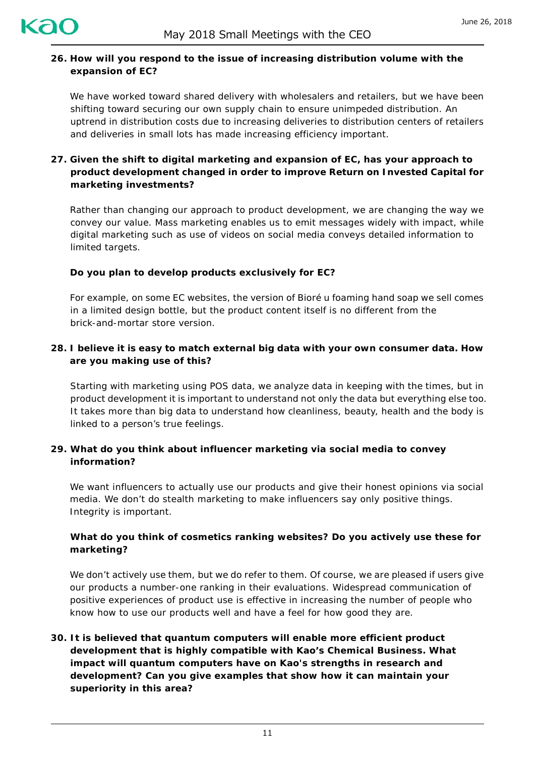

### **26. How will you respond to the issue of increasing distribution volume with the expansion of EC?**

We have worked toward shared delivery with wholesalers and retailers, but we have been shifting toward securing our own supply chain to ensure unimpeded distribution. An uptrend in distribution costs due to increasing deliveries to distribution centers of retailers and deliveries in small lots has made increasing efficiency important.

# **27. Given the shift to digital marketing and expansion of EC, has your approach to product development changed in order to improve Return on Invested Capital for marketing investments?**

Rather than changing our approach to product development, we are changing the way we convey our value. Mass marketing enables us to emit messages widely with impact, while digital marketing such as use of videos on social media conveys detailed information to limited targets.

### **Do you plan to develop products exclusively for EC?**

For example, on some EC websites, the version of *Bioré u foaming hand soap* we sell comes in a limited design bottle, but the product content itself is no different from the brick-and-mortar store version.

## **28. I believe it is easy to match external big data with your own consumer data. How are you making use of this?**

Starting with marketing using POS data, we analyze data in keeping with the times, but in product development it is important to understand not only the data but everything else too. It takes more than big data to understand how cleanliness, beauty, health and the body is linked to a person's true feelings.

## **29. What do you think about influencer marketing via social media to convey information?**

We want influencers to actually use our products and give their honest opinions via social media. We don't do stealth marketing to make influencers say only positive things. Integrity is important.

## **What do you think of cosmetics ranking websites? Do you actively use these for marketing?**

We don't actively use them, but we do refer to them. Of course, we are pleased if users give our products a number-one ranking in their evaluations. Widespread communication of positive experiences of product use is effective in increasing the number of people who know how to use our products well and have a feel for how good they are.

# **30. It is believed that quantum computers will enable more efficient product development that is highly compatible with Kao's Chemical Business. What impact will quantum computers have on Kao's strengths in research and development? Can you give examples that show how it can maintain your superiority in this area?**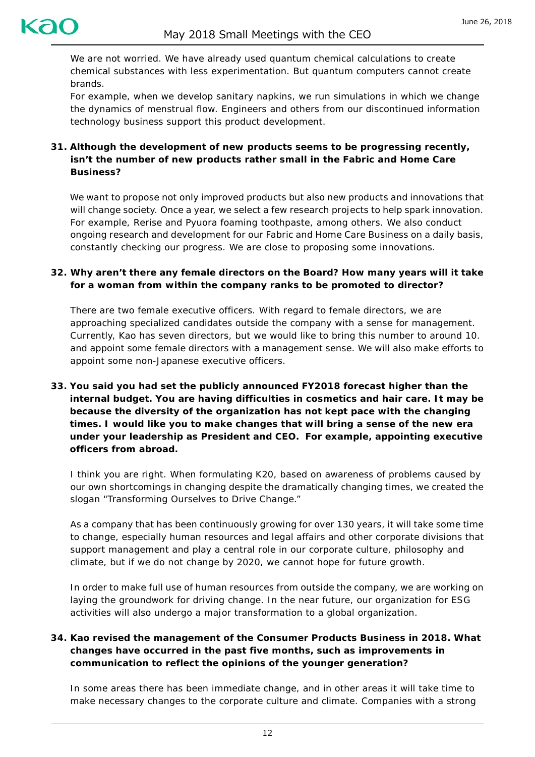

We are not worried. We have already used quantum chemical calculations to create chemical substances with less experimentation. But quantum computers cannot create brands.

For example, when we develop sanitary napkins, we run simulations in which we change the dynamics of menstrual flow. Engineers and others from our discontinued information technology business support this product development.

# **31. Although the development of new products seems to be progressing recently, isn't the number of new products rather small in the Fabric and Home Care Business?**

We want to propose not only improved products but also new products and innovations that will change society. Once a year, we select a few research projects to help spark innovation. For example, *Rerise* and *Pyuora foaming toothpaste*, among others. We also conduct ongoing research and development for our Fabric and Home Care Business on a daily basis, constantly checking our progress. We are close to proposing some innovations.

## **32. Why aren't there any female directors on the Board? How many years will it take for a woman from within the company ranks to be promoted to director?**

There are two female executive officers. With regard to female directors, we are approaching specialized candidates outside the company with a sense for management. Currently, Kao has seven directors, but we would like to bring this number to around 10. and appoint some female directors with a management sense. We will also make efforts to appoint some non-Japanese executive officers.

**33. You said you had set the publicly announced FY2018 forecast higher than the internal budget. You are having difficulties in cosmetics and hair care. It may be because the diversity of the organization has not kept pace with the changing times. I would like you to make changes that will bring a sense of the new era under your leadership as President and CEO. For example, appointing executive officers from abroad.**

I think you are right. When formulating K20, based on awareness of problems caused by our own shortcomings in changing despite the dramatically changing times, we created the slogan "Transforming Ourselves to Drive Change."

As a company that has been continuously growing for over 130 years, it will take some time to change, especially human resources and legal affairs and other corporate divisions that support management and play a central role in our corporate culture, philosophy and climate, but if we do not change by 2020, we cannot hope for future growth.

In order to make full use of human resources from outside the company, we are working on laying the groundwork for driving change. In the near future, our organization for ESG activities will also undergo a major transformation to a global organization.

# **34. Kao revised the management of the Consumer Products Business in 2018. What changes have occurred in the past five months, such as improvements in communication to reflect the opinions of the younger generation?**

In some areas there has been immediate change, and in other areas it will take time to make necessary changes to the corporate culture and climate. Companies with a strong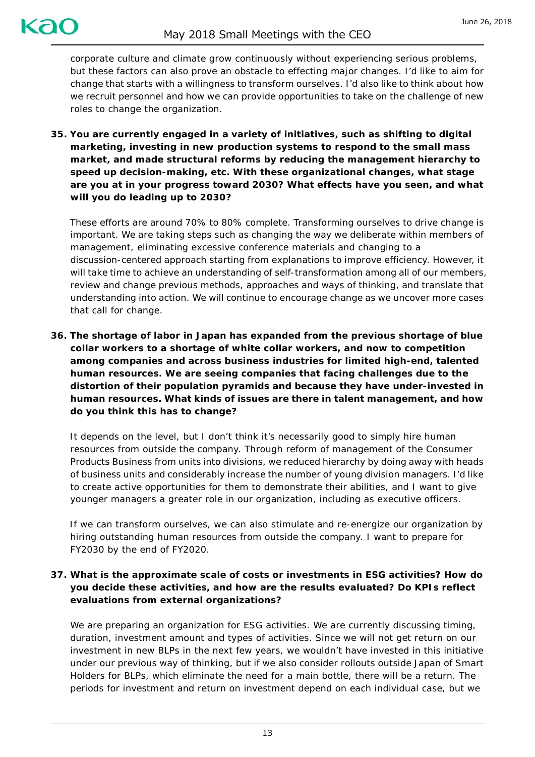corporate culture and climate grow continuously without experiencing serious problems, but these factors can also prove an obstacle to effecting major changes. I'd like to aim for change that starts with a willingness to transform ourselves. I'd also like to think about how we recruit personnel and how we can provide opportunities to take on the challenge of new roles to change the organization.

**35. You are currently engaged in a variety of initiatives, such as shifting to digital marketing, investing in new production systems to respond to the small mass market, and made structural reforms by reducing the management hierarchy to speed up decision-making, etc. With these organizational changes, what stage are you at in your progress toward 2030? What effects have you seen, and what will you do leading up to 2030?**

These efforts are around 70% to 80% complete. Transforming ourselves to drive change is important. We are taking steps such as changing the way we deliberate within members of management, eliminating excessive conference materials and changing to a discussion-centered approach starting from explanations to improve efficiency. However, it will take time to achieve an understanding of self-transformation among all of our members, review and change previous methods, approaches and ways of thinking, and translate that understanding into action. We will continue to encourage change as we uncover more cases that call for change.

**36. The shortage of labor in Japan has expanded from the previous shortage of blue collar workers to a shortage of white collar workers, and now to competition among companies and across business industries for limited high-end, talented human resources. We are seeing companies that facing challenges due to the distortion of their population pyramids and because they have under-invested in human resources. What kinds of issues are there in talent management, and how do you think this has to change?**

It depends on the level, but I don't think it's necessarily good to simply hire human resources from outside the company. Through reform of management of the Consumer Products Business from units into divisions, we reduced hierarchy by doing away with heads of business units and considerably increase the number of young division managers. I'd like to create active opportunities for them to demonstrate their abilities, and I want to give younger managers a greater role in our organization, including as executive officers.

If we can transform ourselves, we can also stimulate and re-energize our organization by hiring outstanding human resources from outside the company. I want to prepare for FY2030 by the end of FY2020.

# **37. What is the approximate scale of costs or investments in ESG activities? How do you decide these activities, and how are the results evaluated? Do KPIs reflect evaluations from external organizations?**

We are preparing an organization for ESG activities. We are currently discussing timing, duration, investment amount and types of activities. Since we will not get return on our investment in new BLPs in the next few years, we wouldn't have invested in this initiative under our previous way of thinking, but if we also consider rollouts outside Japan of Smart Holders for BLPs, which eliminate the need for a main bottle, there will be a return. The periods for investment and return on investment depend on each individual case, but we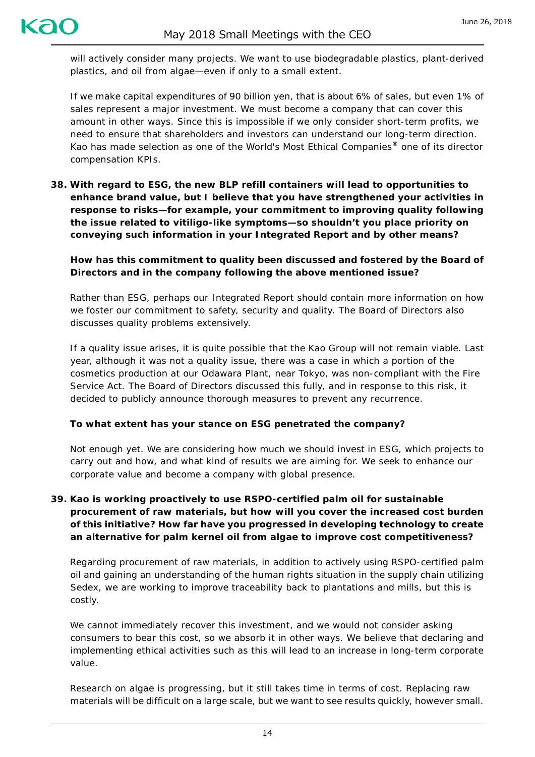will actively consider many projects. We want to use biodegradable plastics, plant-derived plastics, and oil from algae—even if only to a small extent.

If we make capital expenditures of 90 billion yen, that is about 6% of sales, but even 1% of sales represent a major investment. We must become a company that can cover this amount in other ways. Since this is impossible if we only consider short-term profits, we need to ensure that shareholders and investors can understand our long-term direction. Kao has made selection as one of the World's Most Ethical Companies® one of its director compensation KPIs.

**38. With regard to ESG, the new BLP refill containers will lead to opportunities to enhance brand value, but I believe that you have strengthened your activities in response to risks—for example, your commitment to improving quality following the issue related to vitiligo-like symptoms—so shouldn't you place priority on conveying such information in your Integrated Report and by other means?**

### **How has this commitment to quality been discussed and fostered by the Board of Directors and in the company following the above mentioned issue?**

Rather than ESG, perhaps our Integrated Report should contain more information on how we foster our commitment to safety, security and quality. The Board of Directors also discusses quality problems extensively.

If a quality issue arises, it is quite possible that the Kao Group will not remain viable. Last year, although it was not a quality issue, there was a case in which a portion of the cosmetics production at our Odawara Plant, near Tokyo, was non-compliant with the Fire Service Act. The Board of Directors discussed this fully, and in response to this risk, it decided to publicly announce thorough measures to prevent any recurrence.

### **To what extent has your stance on ESG penetrated the company?**

Not enough yet. We are considering how much we should invest in ESG, which projects to carry out and how, and what kind of results we are aiming for. We seek to enhance our corporate value and become a company with global presence.

# **39. Kao is working proactively to use RSPO-certified palm oil for sustainable procurement of raw materials, but how will you cover the increased cost burden of this initiative? How far have you progressed in developing technology to create an alternative for palm kernel oil from algae to improve cost competitiveness?**

Regarding procurement of raw materials, in addition to actively using RSPO-certified palm oil and gaining an understanding of the human rights situation in the supply chain utilizing Sedex, we are working to improve traceability back to plantations and mills, but this is costly.

We cannot immediately recover this investment, and we would not consider asking consumers to bear this cost, so we absorb it in other ways. We believe that declaring and implementing ethical activities such as this will lead to an increase in long-term corporate value.

Research on algae is progressing, but it still takes time in terms of cost. Replacing raw materials will be difficult on a large scale, but we want to see results quickly, however small.